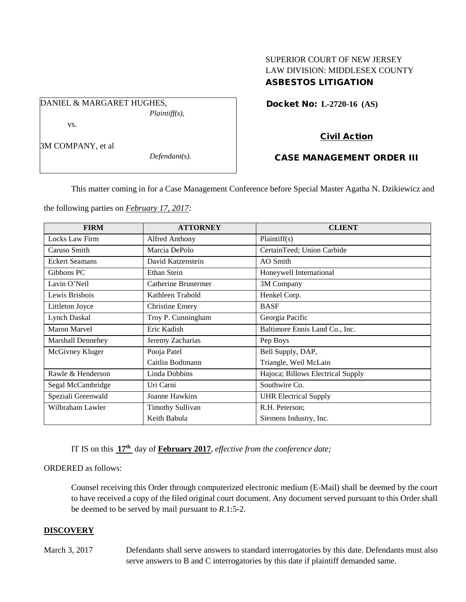## SUPERIOR COURT OF NEW JERSEY LAW DIVISION: MIDDLESEX COUNTY ASBESTOS LITIGATION

Docket No: **L-2720-16 (AS)** 

vs.

DANIEL & MARGARET HUGHES.

3M COMPANY, et al

*Defendant(s).*

*Plaintiff(s),*

# Civil Action

## CASE MANAGEMENT ORDER III

This matter coming in for a Case Management Conference before Special Master Agatha N. Dzikiewicz and

the following parties on *February 17, 2017:*

| <b>FIRM</b>           | <b>ATTORNEY</b>         | <b>CLIENT</b>                     |
|-----------------------|-------------------------|-----------------------------------|
| Locks Law Firm        | Alfred Anthony          | Plaintiff(s)                      |
| Caruso Smith          | Marcia DePolo           | CertainTeed; Union Carbide        |
| <b>Eckert Seamans</b> | David Katzenstein       | AO Smith                          |
| Gibbons PC            | Ethan Stein             | Honeywell International           |
| Lavin O'Neil          | Catherine Brunermer     | 3M Company                        |
| Lewis Brisbois        | Kathleen Trabold        | Henkel Corp.                      |
| Littleton Joyce       | <b>Christine Emery</b>  | <b>BASF</b>                       |
| <b>Lynch Daskal</b>   | Troy P. Cunningham      | Georgia Pacific                   |
| <b>Maron Marvel</b>   | Eric Kadish             | Baltimore Ennis Land Co., Inc.    |
| Marshall Dennehey     | Jeremy Zacharias        | Pep Boys                          |
| McGivney Kluger       | Pooja Patel             | Bell Supply, DAP,                 |
|                       | Caitlin Bodtmann        | Triangle, Weil McLain             |
| Rawle & Henderson     | Linda Dobbins           | Hajoca; Billows Electrical Supply |
| Segal McCambridge     | Uri Carni               | Southwire Co.                     |
| Speziali Greenwald    | Joanne Hawkins          | <b>UHR Electrical Supply</b>      |
| Wilbraham Lawler      | <b>Timothy Sullivan</b> | R.H. Peterson;                    |
|                       | Keith Babula            | Siemens Industry, Inc.            |

IT IS on this **17th** day of **February 2017**, *effective from the conference date;*

### ORDERED as follows:

Counsel receiving this Order through computerized electronic medium (E-Mail) shall be deemed by the court to have received a copy of the filed original court document. Any document served pursuant to this Order shall be deemed to be served by mail pursuant to *R*.1:5-2.

## **DISCOVERY**

March 3, 2017 Defendants shall serve answers to standard interrogatories by this date. Defendants must also serve answers to B and C interrogatories by this date if plaintiff demanded same.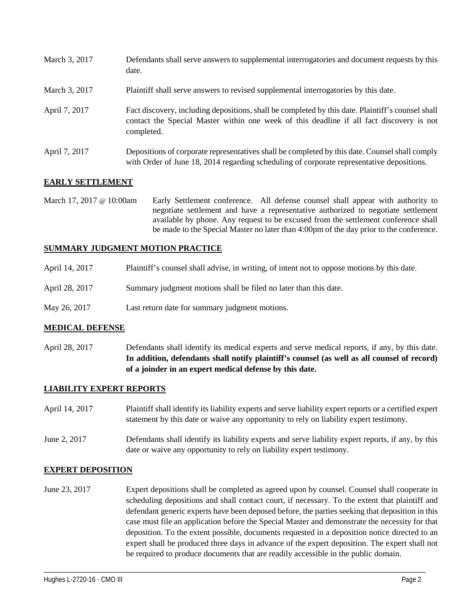| March 3, 2017 | Defendants shall serve answers to supplemental interrogatories and document requests by this<br>date.                                                                                                       |
|---------------|-------------------------------------------------------------------------------------------------------------------------------------------------------------------------------------------------------------|
| March 3, 2017 | Plaintiff shall serve answers to revised supplemental interrogatories by this date.                                                                                                                         |
| April 7, 2017 | Fact discovery, including depositions, shall be completed by this date. Plaintiff's counsel shall<br>contact the Special Master within one week of this deadline if all fact discovery is not<br>completed. |
| April 7, 2017 | Depositions of corporate representatives shall be completed by this date. Counsel shall comply<br>with Order of June 18, 2014 regarding scheduling of corporate representative depositions.                 |

## **EARLY SETTLEMENT**

March 17, 2017 @ 10:00am Early Settlement conference. All defense counsel shall appear with authority to negotiate settlement and have a representative authorized to negotiate settlement available by phone. Any request to be excused from the settlement conference shall be made to the Special Master no later than 4:00pm of the day prior to the conference.

## **SUMMARY JUDGMENT MOTION PRACTICE**

- April 14, 2017 Plaintiff's counsel shall advise, in writing, of intent not to oppose motions by this date.
- April 28, 2017 Summary judgment motions shall be filed no later than this date.
- May 26, 2017 Last return date for summary judgment motions.

### **MEDICAL DEFENSE**

April 28, 2017 Defendants shall identify its medical experts and serve medical reports, if any, by this date. **In addition, defendants shall notify plaintiff's counsel (as well as all counsel of record) of a joinder in an expert medical defense by this date.**

### **LIABILITY EXPERT REPORTS**

| April 14, 2017 | Plaintiff shall identify its liability experts and serve liability expert reports or a certified expert<br>statement by this date or waive any opportunity to rely on liability expert testimony. |
|----------------|---------------------------------------------------------------------------------------------------------------------------------------------------------------------------------------------------|
| June 2, 2017   | Defendants shall identify its liability experts and serve liability expert reports, if any, by this<br>date or waive any opportunity to rely on liability expert testimony.                       |

### **EXPERT DEPOSITION**

June 23, 2017 Expert depositions shall be completed as agreed upon by counsel. Counsel shall cooperate in scheduling depositions and shall contact court, if necessary. To the extent that plaintiff and defendant generic experts have been deposed before, the parties seeking that deposition in this case must file an application before the Special Master and demonstrate the necessity for that deposition. To the extent possible, documents requested in a deposition notice directed to an expert shall be produced three days in advance of the expert deposition. The expert shall not be required to produce documents that are readily accessible in the public domain.

\_\_\_\_\_\_\_\_\_\_\_\_\_\_\_\_\_\_\_\_\_\_\_\_\_\_\_\_\_\_\_\_\_\_\_\_\_\_\_\_\_\_\_\_\_\_\_\_\_\_\_\_\_\_\_\_\_\_\_\_\_\_\_\_\_\_\_\_\_\_\_\_\_\_\_\_\_\_\_\_\_\_\_\_\_\_\_\_\_\_\_\_\_\_\_\_\_\_\_\_\_\_\_\_\_\_\_\_\_\_